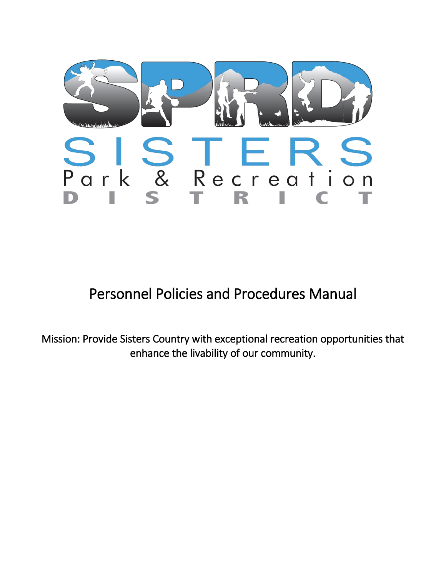

Personnel Policies and Procedures Manual

Mission: Provide Sisters Country with exceptional recreation opportunities that enhance the livability of our community.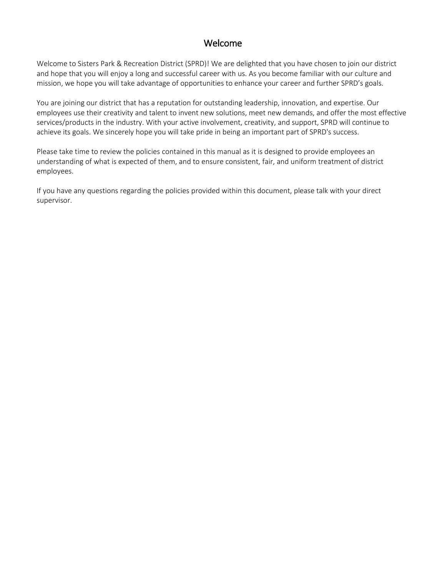# Welcome

Welcome to Sisters Park & Recreation District (SPRD)! We are delighted that you have chosen to join our district and hope that you will enjoy a long and successful career with us. As you become familiar with our culture and mission, we hope you will take advantage of opportunities to enhance your career and further SPRD's goals.

You are joining our district that has a reputation for outstanding leadership, innovation, and expertise. Our employees use their creativity and talent to invent new solutions, meet new demands, and offer the most effective services/products in the industry. With your active involvement, creativity, and support, SPRD will continue to achieve its goals. We sincerely hope you will take pride in being an important part of SPRD's success.

Please take time to review the policies contained in this manual as it is designed to provide employees an understanding of what is expected of them, and to ensure consistent, fair, and uniform treatment of district employees.

If you have any questions regarding the policies provided within this document, please talk with your direct supervisor.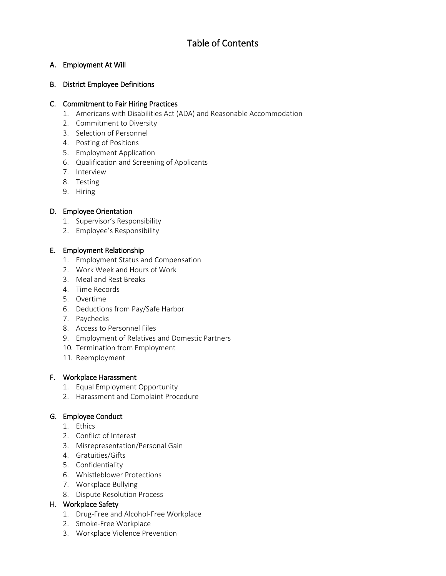## A. Employment At Will

## B. District Employee Definitions

### C. Commitment to Fair Hiring Practices

- 1. Americans with Disabilities Act (ADA) and Reasonable Accommodation
- 2. Commitment to Diversity
- 3. Selection of Personnel
- 4. Posting of Positions
- 5. Employment Application
- 6. Qualification and Screening of Applicants
- 7. Interview
- 8. Testing
- 9. Hiring

## D. Employee Orientation

- 1. Supervisor's Responsibility
- 2. Employee's Responsibility

## E. Employment Relationship

- 1. Employment Status and Compensation
- 2. Work Week and Hours of Work
- 3. Meal and Rest Breaks
- 4. Time Records
- 5. Overtime
- 6. Deductions from Pay/Safe Harbor
- 7. Paychecks
- 8. Access to Personnel Files
- 9. Employment of Relatives and Domestic Partners
- 10. Termination from Employment
- 11. Reemployment

### F. Workplace Harassment

- 1. Equal Employment Opportunity
- 2. Harassment and Complaint Procedure

## G. Employee Conduct

- 1. Ethics
- 2. Conflict of Interest
- 3. Misrepresentation/Personal Gain
- 4. Gratuities/Gifts
- 5. Confidentiality
- 6. Whistleblower Protections
- 7. Workplace Bullying
- 8. Dispute Resolution Process

## H. Workplace Safety

- 1. Drug-Free and Alcohol-Free Workplace
- 2. Smoke-Free Workplace
- 3. Workplace Violence Prevention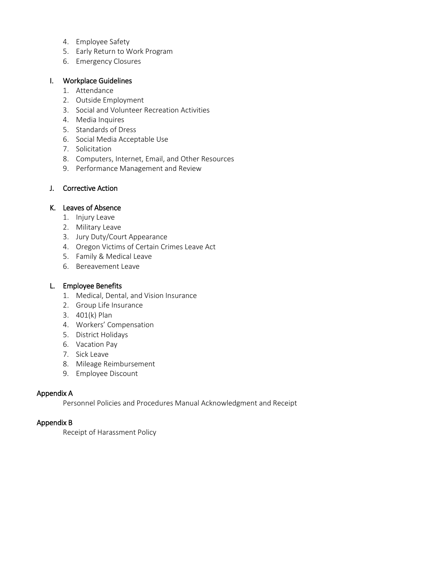- 4. Employee Safety
- 5. Early Return to Work Program
- 6. Emergency Closures

#### I. Workplace Guidelines

- 1. Attendance
- 2. Outside Employment
- 3. Social and Volunteer Recreation Activities
- 4. Media Inquires
- 5. Standards of Dress
- 6. Social Media Acceptable Use
- 7. Solicitation
- 8. Computers, Internet, Email, and Other Resources
- 9. Performance Management and Review

#### J. Corrective Action

#### K. Leaves of Absence

- 1. Injury Leave
- 2. Military Leave
- 3. Jury Duty/Court Appearance
- 4. Oregon Victims of Certain Crimes Leave Act
- 5. Family & Medical Leave
- 6. Bereavement Leave

#### L. Employee Benefits

- 1. Medical, Dental, and Vision Insurance
- 2. Group Life Insurance
- 3. 401(k) Plan
- 4. Workers' Compensation
- 5. District Holidays
- 6. Vacation Pay
- 7. Sick Leave
- 8. Mileage Reimbursement
- 9. Employee Discount

#### Appendix A

Personnel Policies and Procedures Manual Acknowledgment and Receipt

#### Appendix B

Receipt of Harassment Policy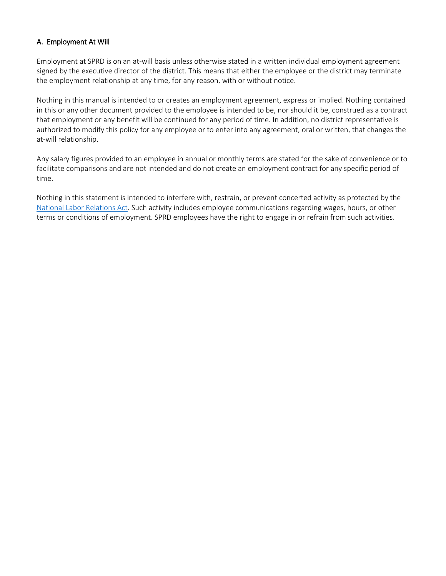## A. Employment At Will

Employment at SPRD is on an at-will basis unless otherwise stated in a written individual employment agreement signed by the executive director of the district. This means that either the employee or the district may terminate the employment relationship at any time, for any reason, with or without notice.

Nothing in this manual is intended to or creates an employment agreement, express or implied. Nothing contained in this or any other document provided to the employee is intended to be, nor should it be, construed as a contract that employment or any benefit will be continued for any period of time. In addition, no district representative is authorized to modify this policy for any employee or to enter into any agreement, oral or written, that changes the at-will relationship.

Any salary figures provided to an employee in annual or monthly terms are stated for the sake of convenience or to facilitate comparisons and are not intended and do not create an employment contract for any specific period of time.

Nothing in this statement is intended to interfere with, restrain, or prevent concerted activity as protected by the [National Labor Relations Act.](https://www.nlrb.gov/guidance/key-reference-materials/national-labor-relations-act) Such activity includes employee communications regarding wages, hours, or other terms or conditions of employment. SPRD employees have the right to engage in or refrain from such activities.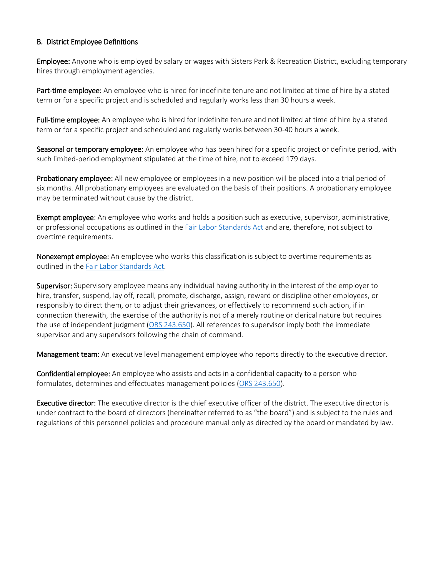#### B. District Employee Definitions

Employee: Anyone who is employed by salary or wages with Sisters Park & Recreation District, excluding temporary hires through employment agencies.

Part-time employee: An employee who is hired for indefinite tenure and not limited at time of hire by a stated term or for a specific project and is scheduled and regularly works less than 30 hours a week.

Full-time employee: An employee who is hired for indefinite tenure and not limited at time of hire by a stated term or for a specific project and scheduled and regularly works between 30-40 hours a week.

Seasonal or temporary employee: An employee who has been hired for a specific project or definite period, with such limited-period employment stipulated at the time of hire, not to exceed 179 days.

Probationary employee: All new employee or employees in a new position will be placed into a trial period of six months. All probationary employees are evaluated on the basis of their positions. A probationary employee may be terminated without cause by the district.

Exempt employee: An employee who works and holds a position such as executive, supervisor, administrative, or professional occupations as outlined in the [Fair Labor Standards Act](https://www.dol.gov/agencies/whd/flsa#:%7E:text=The%20Fair%20Labor%20Standards%20Act%20(FLSA)%20establishes%20minimum%20wage%2C,%2C%20State%2C%20and%20local%20governments.&text=There%20is%20no%20limit%20on,may%20work%20in%20any%20workweek.) and are, therefore, not subject to overtime requirements.

Nonexempt employee: An employee who works this classification is subject to overtime requirements as outlined in th[e Fair Labor Standards Act.](https://www.dol.gov/agencies/whd/flsa#:%7E:text=The%20Fair%20Labor%20Standards%20Act%20(FLSA)%20establishes%20minimum%20wage%2C,%2C%20State%2C%20and%20local%20governments.&text=There%20is%20no%20limit%20on,may%20work%20in%20any%20workweek.)

Supervisor: Supervisory employee means any individual having authority in the interest of the employer to hire, transfer, suspend, lay off, recall, promote, discharge, assign, reward or discipline other employees, or responsibly to direct them, or to adjust their grievances, or effectively to recommend such action, if in connection therewith, the exercise of the authority is not of a merely routine or clerical nature but requires the use of independent judgment [\(ORS 243.650\)](https://www.oregonlegislature.gov/bills_laws/ors/ors243.html). All references to supervisor imply both the immediate supervisor and any supervisors following the chain of command.

Management team: An executive level management employee who reports directly to the executive director.

Confidential employee: An employee who assists and acts in a confidential capacity to a person who formulates, determines and effectuates management policies [\(ORS 243.650\)](https://www.oregonlegislature.gov/bills_laws/ors/ors243.html).

Executive director: The executive director is the chief executive officer of the district. The executive director is under contract to the board of directors (hereinafter referred to as "the board") and is subject to the rules and regulations of this personnel policies and procedure manual only as directed by the board or mandated by law.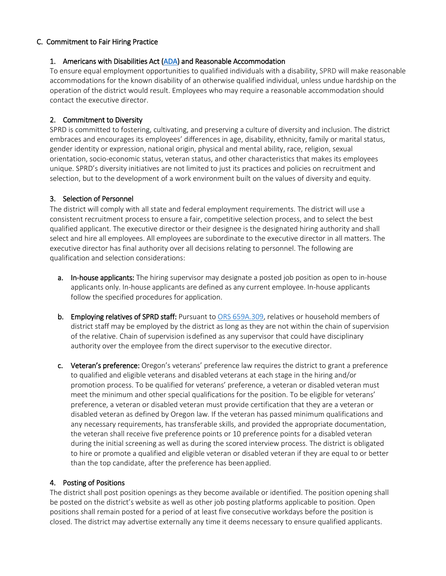#### C. Commitment to Fair Hiring Practice

#### 1. Americans with Disabilities Act [\(ADA\)](https://www.ada.gov/) and Reasonable Accommodation

To ensure equal employment opportunities to qualified individuals with a disability, SPRD will make reasonable accommodations for the known disability of an otherwise qualified individual, unless undue hardship on the operation of the district would result. Employees who may require a reasonable accommodation should contact the executive director.

## 2. Commitment to Diversity

SPRD is committed to fostering, cultivating, and preserving a culture of diversity and inclusion. The district embraces and encourages its employees' differences in age, disability, ethnicity, family or marital status, gender identity or expression, national origin, physical and mental ability, race, religion, sexual orientation, socio-economic status, veteran status, and other characteristics that makes its employees unique. SPRD's diversity initiatives are not limited to just its practices and policies on recruitment and selection, but to the development of a work environment built on the values of diversity and equity.

### 3. Selection of Personnel

The district will comply with all state and federal employment requirements. The district will use a consistent recruitment process to ensure a fair, competitive selection process, and to select the best qualified applicant. The executive director or their designee is the designated hiring authority and shall select and hire all employees. All employees are subordinate to the executive director in all matters. The executive director has final authority over all decisions relating to personnel. The following are qualification and selection considerations:

- a. In-house applicants: The hiring supervisor may designate a posted job position as open to in-house applicants only. In-house applicants are defined as any current employee. In-house applicants follow the specified procedures for application.
- b. Employing relatives of SPRD staff: Pursuant to [ORS 659A.309,](https://www.oregonlegislature.gov/bills_laws/ors/ors659.html) relatives or household members of district staff may be employed by the district as long as they are not within the chain of supervision of the relative. Chain of supervision isdefined as any supervisor that could have disciplinary authority over the employee from the direct supervisor to the executive director.
- c. Veteran's preference: Oregon's veterans' preference law requires the district to grant a preference to qualified and eligible veterans and disabled veterans at each stage in the hiring and/or promotion process. To be qualified for veterans' preference, a veteran or disabled veteran must meet the minimum and other special qualifications for the position. To be eligible for veterans' preference, a veteran or disabled veteran must provide certification that they are a veteran or disabled veteran as defined by Oregon law. If the veteran has passed minimum qualifications and any necessary requirements, has transferable skills, and provided the appropriate documentation, the veteran shall receive five preference points or 10 preference points for a disabled veteran during the initial screening as well as during the scored interview process. The district is obligated to hire or promote a qualified and eligible veteran or disabled veteran if they are equal to or better than the top candidate, after the preference has beenapplied.

### 4. Posting of Positions

The district shall post position openings as they become available or identified. The position opening shall be posted on the district's website as well as other job posting platforms applicable to position. Open positions shall remain posted for a period of at least five consecutive workdays before the position is closed. The district may advertise externally any time it deems necessary to ensure qualified applicants.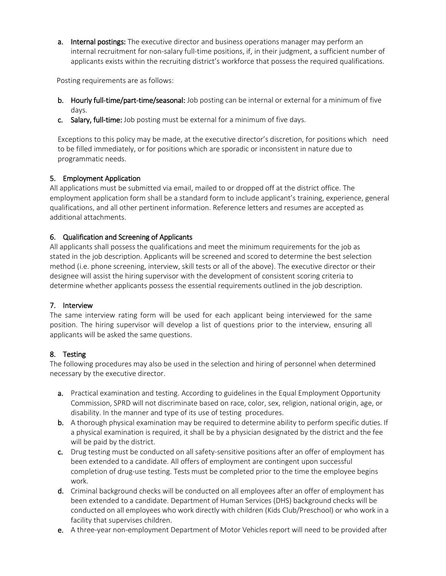a. Internal postings: The executive director and business operations manager may perform an internal recruitment for non-salary full-time positions, if, in their judgment, a sufficient number of applicants exists within the recruiting district's workforce that possess the required qualifications.

Posting requirements are as follows:

- b. Hourly full-time/part-time/seasonal: Job posting can be internal or external for a minimum of five days.
- c. Salary, full-time: Job posting must be external for a minimum of five days.

Exceptions to this policy may be made, at the executive director's discretion, for positions which need to be filled immediately, or for positions which are sporadic or inconsistent in nature due to programmatic needs.

#### 5. Employment Application

All applications must be submitted via email, mailed to or dropped off at the district office. The employment application form shall be a standard form to include applicant's training, experience, general qualifications, and all other pertinent information. Reference letters and resumes are accepted as additional attachments.

#### 6. Qualification and Screening of Applicants

All applicants shall possess the qualifications and meet the minimum requirements for the job as stated in the job description. Applicants will be screened and scored to determine the best selection method (i.e. phone screening, interview, skill tests or all of the above). The executive director or their designee will assist the hiring supervisor with the development of consistent scoring criteria to determine whether applicants possess the essential requirements outlined in the job description.

### 7. Interview

The same interview rating form will be used for each applicant being interviewed for the same position. The hiring supervisor will develop a list of questions prior to the interview, ensuring all applicants will be asked the same questions.

#### 8. Testing

The following procedures may also be used in the selection and hiring of personnel when determined necessary by the executive director.

- a. Practical examination and testing. According to guidelines in the Equal Employment Opportunity Commission, SPRD will not discriminate based on race, color, sex, religion, national origin, age, or disability. In the manner and type of its use of testing procedures.
- b. A thorough physical examination may be required to determine ability to perform specific duties. If a physical examination is required, it shall be by a physician designated by the district and the fee will be paid by the district.
- c. Drug testing must be conducted on all safety-sensitive positions after an offer of employment has been extended to a candidate. All offers of employment are contingent upon successful completion of drug-use testing. Tests must be completed prior to the time the employee begins work.
- d. Criminal background checks will be conducted on all employees after an offer of employment has been extended to a candidate. Department of Human Services (DHS) background checks will be conducted on all employees who work directly with children (Kids Club/Preschool) or who work in a facility that supervises children.
- e. A three-year non-employment Department of Motor Vehicles report will need to be provided after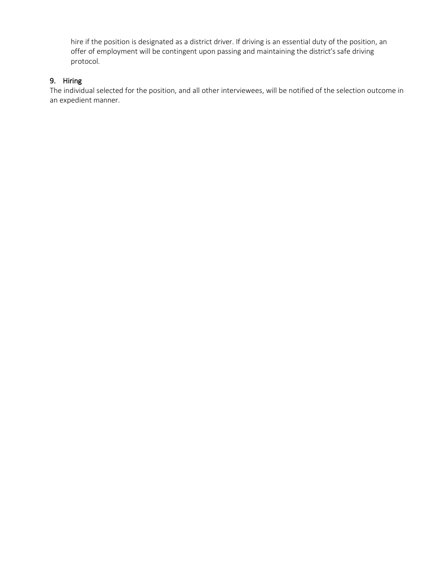hire if the position is designated as a district driver. If driving is an essential duty of the position, an offer of employment will be contingent upon passing and maintaining the district's safe driving protocol.

## 9. Hiring

The individual selected for the position, and all other interviewees, will be notified of the selection outcome in an expedient manner.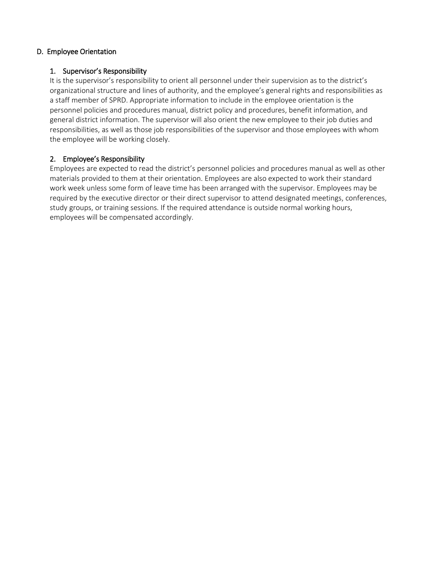#### D. Employee Orientation

#### 1. Supervisor's Responsibility

It is the supervisor's responsibility to orient all personnel under their supervision as to the district's organizational structure and lines of authority, and the employee's general rights and responsibilities as a staff member of SPRD. Appropriate information to include in the employee orientation is the personnel policies and procedures manual, district policy and procedures, benefit information, and general district information. The supervisor will also orient the new employee to their job duties and responsibilities, as well as those job responsibilities of the supervisor and those employees with whom the employee will be working closely.

#### 2. Employee's Responsibility

Employees are expected to read the district's personnel policies and procedures manual as well as other materials provided to them at their orientation. Employees are also expected to work their standard work week unless some form of leave time has been arranged with the supervisor. Employees may be required by the executive director or their direct supervisor to attend designated meetings, conferences, study groups, or training sessions. If the required attendance is outside normal working hours, employees will be compensated accordingly.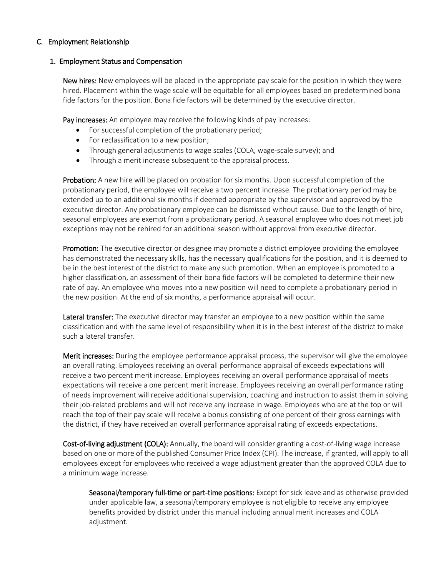#### C. Employment Relationship

#### 1. Employment Status and Compensation

New hires: New employees will be placed in the appropriate pay scale for the position in which they were hired. Placement within the wage scale will be equitable for all employees based on predetermined bona fide factors for the position. Bona fide factors will be determined by the executive director.

Pay increases: An employee may receive the following kinds of pay increases:

- For successful completion of the probationary period;
- For reclassification to a new position;
- Through general adjustments to wage scales (COLA, wage-scale survey); and
- Through a merit increase subsequent to the appraisal process.

Probation: A new hire will be placed on probation for six months. Upon successful completion of the probationary period, the employee will receive a two percent increase. The probationary period may be extended up to an additional six months if deemed appropriate by the supervisor and approved by the executive director. Any probationary employee can be dismissed without cause. Due to the length of hire, seasonal employees are exempt from a probationary period. A seasonal employee who does not meet job exceptions may not be rehired for an additional season without approval from executive director.

Promotion: The executive director or designee may promote a district employee providing the employee has demonstrated the necessary skills, has the necessary qualifications for the position, and it is deemed to be in the best interest of the district to make any such promotion. When an employee is promoted to a higher classification, an assessment of their bona fide factors will be completed to determine their new rate of pay. An employee who moves into a new position will need to complete a probationary period in the new position. At the end of six months, a performance appraisal will occur.

Lateral transfer: The executive director may transfer an employee to a new position within the same classification and with the same level of responsibility when it is in the best interest of the district to make such a lateral transfer.

Merit increases: During the employee performance appraisal process, the supervisor will give the employee an overall rating. Employees receiving an overall performance appraisal of exceeds expectations will receive a two percent merit increase. Employees receiving an overall performance appraisal of meets expectations will receive a one percent merit increase. Employees receiving an overall performance rating of needs improvement will receive additional supervision, coaching and instruction to assist them in solving their job-related problems and will not receive any increase in wage. Employees who are at the top or will reach the top of their pay scale will receive a bonus consisting of one percent of their gross earnings with the district, if they have received an overall performance appraisal rating of exceeds expectations.

Cost-of-living adjustment (COLA): Annually, the board will consider granting a cost-of-living wage increase based on one or more of the published Consumer Price Index (CPI). The increase, if granted, will apply to all employees except for employees who received a wage adjustment greater than the approved COLA due to a minimum wage increase.

Seasonal/temporary full-time or part-time positions: Except for sick leave and as otherwise provided under applicable law, a seasonal/temporary employee is not eligible to receive any employee benefits provided by district under this manual including annual merit increases and COLA adjustment.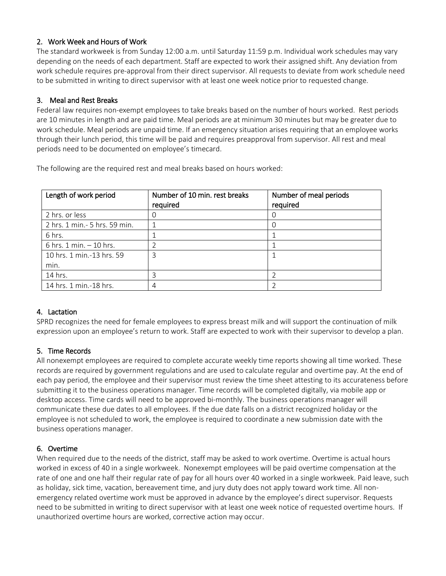### 2. Work Week and Hours of Work

The standard workweek is from Sunday 12:00 a.m. until Saturday 11:59 p.m. Individual work schedules may vary depending on the needs of each department. Staff are expected to work their assigned shift. Any deviation from work schedule requires pre-approval from their direct supervisor. All requests to deviate from work schedule need to be submitted in writing to direct supervisor with at least one week notice prior to requested change.

### 3. Meal and Rest Breaks

Federal law requires non-exempt employees to take breaks based on the number of hours worked. Rest periods are 10 minutes in length and are paid time. Meal periods are at minimum 30 minutes but may be greater due to work schedule. Meal periods are unpaid time. If an emergency situation arises requiring that an employee works through their lunch period, this time will be paid and requires preapproval from supervisor. All rest and meal periods need to be documented on employee's timecard.

The following are the required rest and meal breaks based on hours worked:

| Length of work period          | Number of 10 min. rest breaks<br>required | Number of meal periods<br>required |
|--------------------------------|-------------------------------------------|------------------------------------|
| 2 hrs. or less                 |                                           |                                    |
| 2 hrs. 1 min. - 5 hrs. 59 min. |                                           |                                    |
| 6 hrs.                         |                                           |                                    |
| 6 hrs. 1 min. - 10 hrs.        |                                           |                                    |
| 10 hrs. 1 min.-13 hrs. 59      | 3                                         |                                    |
| min.                           |                                           |                                    |
| 14 hrs.                        | ੨                                         |                                    |
| 14 hrs. 1 min.-18 hrs.         |                                           |                                    |

## 4. Lactation

SPRD recognizes the need for female employees to express breast milk and will support the continuation of milk expression upon an employee's return to work. Staff are expected to work with their supervisor to develop a plan.

### 5. Time Records

All nonexempt employees are required to complete accurate weekly time reports showing all time worked. These records are required by government regulations and are used to calculate regular and overtime pay. At the end of each pay period, the employee and their supervisor must review the time sheet attesting to its accurateness before submitting it to the business operations manager. Time records will be completed digitally, via mobile app or desktop access. Time cards will need to be approved bi-monthly. The business operations manager will communicate these due dates to all employees. If the due date falls on a district recognized holiday or the employee is not scheduled to work, the employee is required to coordinate a new submission date with the business operations manager.

### 6. Overtime

When required due to the needs of the district, staff may be asked to work overtime. Overtime is actual hours worked in excess of 40 in a single workweek. Nonexempt employees will be paid overtime compensation at the rate of one and one half their regular rate of pay for all hours over 40 worked in a single workweek. Paid leave, such as holiday, sick time, vacation, bereavement time, and jury duty does not apply toward work time. All nonemergency related overtime work must be approved in advance by the employee's direct supervisor. Requests need to be submitted in writing to direct supervisor with at least one week notice of requested overtime hours. If unauthorized overtime hours are worked, corrective action may occur.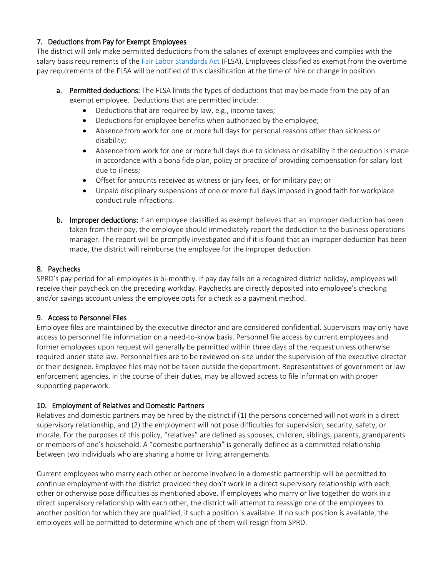## 7. Deductions from Pay for Exempt Employees

The district will only make permitted deductions from the salaries of exempt employees and complies with the salary basis requirements of the [Fair Labor Standards Act](https://www.dol.gov/agencies/whd/flsa#:%7E:text=The%20Fair%20Labor%20Standards%20Act%20(FLSA)%20establishes%20minimum%20wage%2C,%2C%20State%2C%20and%20local%20governments.&text=There%20is%20no%20limit%20on,may%20work%20in%20any%20workweek.) (FLSA). Employees classified as exempt from the overtime pay requirements of the FLSA will be notified of this classification at the time of hire or change in position.

- a. Permitted deductions: The FLSA limits the types of deductions that may be made from the pay of an exempt employee. Deductions that are permitted include:
	- Deductions that are required by law, e.g., income taxes;
	- Deductions for employee benefits when authorized by the employee;
	- Absence from work for one or more full days for personal reasons other than sickness or disability;
	- Absence from work for one or more full days due to sickness or disability if the deduction is made in accordance with a bona fide plan, policy or practice of providing compensation for salary lost due to illness;
	- Offset for amounts received as witness or jury fees, or for military pay; or
	- Unpaid disciplinary suspensions of one or more full days imposed in good faith for workplace conduct rule infractions.
- **b.** Improper deductions: If an employee classified as exempt believes that an improper deduction has been taken from their pay, the employee should immediately report the deduction to the business operations manager. The report will be promptly investigated and if it is found that an improper deduction has been made, the district will reimburse the employee for the improper deduction.

### 8. Paychecks

SPRD's pay period for all employees is bi-monthly. If pay day falls on a recognized district holiday, employees will receive their paycheck on the preceding workday. Paychecks are directly deposited into employee's checking and/or savings account unless the employee opts for a check as a payment method.

### 9. Access to Personnel Files

Employee files are maintained by the executive director and are considered confidential. Supervisors may only have access to personnel file information on a need-to-know basis. Personnel file access by current employees and former employees upon request will generally be permitted within three days of the request unless otherwise required under state law. Personnel files are to be reviewed on-site under the supervision of the executive director or their designee. Employee files may not be taken outside the department. Representatives of government or law enforcement agencies, in the course of their duties, may be allowed access to file information with proper supporting paperwork.

### 10. Employment of Relatives and Domestic Partners

Relatives and domestic partners may be hired by the district if (1) the persons concerned will not work in a direct supervisory relationship, and (2) the employment will not pose difficulties for supervision, security, safety, or morale. For the purposes of this policy, "relatives" are defined as spouses, children, siblings, parents, grandparents or members of one's household. A "domestic partnership" is generally defined as a committed relationship between two individuals who are sharing a home or living arrangements.

Current employees who marry each other or become involved in a domestic partnership will be permitted to continue employment with the district provided they don't work in a direct supervisory relationship with each other or otherwise pose difficulties as mentioned above. If employees who marry or live together do work in a direct supervisory relationship with each other, the district will attempt to reassign one of the employees to another position for which they are qualified, if such a position is available. If no such position is available, the employees will be permitted to determine which one of them will resign from SPRD.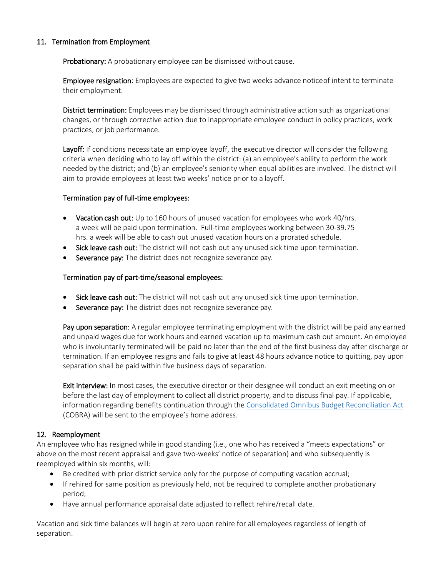### 11. Termination from Employment

**Probationary:** A probationary employee can be dismissed without cause.

**Employee resignation**: Employees are expected to give two weeks advance notice of intent to terminate their employment.

District termination: Employees may be dismissed through administrative action such as organizational changes, or through corrective action due to inappropriate employee conduct in policy practices, work practices, or job performance.

Layoff: If conditions necessitate an employee layoff, the executive director will consider the following criteria when deciding who to lay off within the district: (a) an employee's ability to perform the work needed by the district; and (b) an employee's seniority when equal abilities are involved. The district will aim to provide employees at least two weeks' notice prior to a layoff.

#### Termination pay of full-time employees:

- Vacation cash out: Up to 160 hours of unused vacation for employees who work 40/hrs. a week will be paid upon termination. Full-time employees working between 30-39.75 hrs. a week will be able to cash out unused vacation hours on a prorated schedule.
- Sick leave cash out: The district will not cash out any unused sick time upon termination.
- Severance pay: The district does not recognize severance pay.

#### Termination pay of part-time/seasonal employees:

- Sick leave cash out: The district will not cash out any unused sick time upon termination.
- Severance pay: The district does not recognize severance pay.

Pay upon separation: A regular employee terminating employment with the district will be paid any earned and unpaid wages due for work hours and earned vacation up to maximum cash out amount. An employee who is involuntarily terminated will be paid no later than the end of the first business day after discharge or termination. If an employee resigns and fails to give at least 48 hours advance notice to quitting, pay upon separation shall be paid within five business days of separation.

**Exit interview:** In most cases, the executive director or their designee will conduct an exit meeting on or before the last day of employment to collect all district property, and to discuss final pay. If applicable, information regarding benefits continuation through the [Consolidated Omnibus Budget Reconciliation Act](https://www.dol.gov/general/topic/health-plans/cobra) (COBRA) will be sent to the employee's home address.

#### 12. Reemployment

An employee who has resigned while in good standing (i.e., one who has received a "meets expectations" or above on the most recent appraisal and gave two-weeks' notice of separation) and who subsequently is reemployed within six months, will:

- Be credited with prior district service only for the purpose of computing vacation accrual;
- If rehired for same position as previously held, not be required to complete another probationary period;
- Have annual performance appraisal date adjusted to reflect rehire/recall date.

Vacation and sick time balances will begin at zero upon rehire for all employees regardless of length of separation.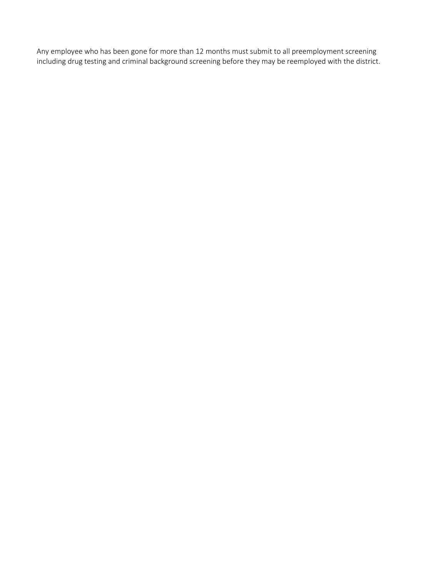Any employee who has been gone for more than 12 months must submit to all preemployment screening including drug testing and criminal background screening before they may be reemployed with the district.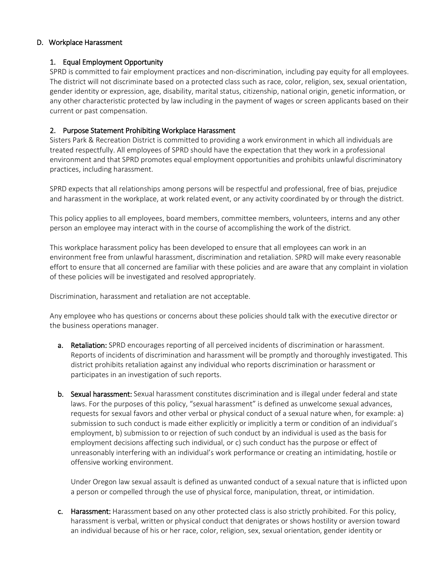#### D. Workplace Harassment

#### 1. Equal Employment Opportunity

SPRD is committed to fair employment practices and non-discrimination, including pay equity for all employees. The district will not discriminate based on a protected class such as race, color, religion, sex, sexual orientation, gender identity or expression, age, disability, marital status, citizenship, national origin, genetic information, or any other characteristic protected by law including in the payment of wages or screen applicants based on their current or past compensation.

#### 2. Purpose Statement Prohibiting Workplace Harassment

Sisters Park & Recreation District is committed to providing a work environment in which all individuals are treated respectfully. All employees of SPRD should have the expectation that they work in a professional environment and that SPRD promotes equal employment opportunities and prohibits unlawful discriminatory practices, including harassment.

SPRD expects that all relationships among persons will be respectful and professional, free of bias, prejudice and harassment in the workplace, at work related event, or any activity coordinated by or through the district.

This policy applies to all employees, board members, committee members, volunteers, interns and any other person an employee may interact with in the course of accomplishing the work of the district.

This workplace harassment policy has been developed to ensure that all employees can work in an environment free from unlawful harassment, discrimination and retaliation. SPRD will make every reasonable effort to ensure that all concerned are familiar with these policies and are aware that any complaint in violation of these policies will be investigated and resolved appropriately.

Discrimination, harassment and retaliation are not acceptable.

Any employee who has questions or concerns about these policies should talk with the executive director or the business operations manager.

- a. Retaliation: SPRD encourages reporting of all perceived incidents of discrimination or harassment. Reports of incidents of discrimination and harassment will be promptly and thoroughly investigated. This district prohibits retaliation against any individual who reports discrimination or harassment or participates in an investigation of such reports.
- b. Sexual harassment: Sexual harassment constitutes discrimination and is illegal under federal and state laws. For the purposes of this policy, "sexual harassment" is defined as unwelcome sexual advances, requests for sexual favors and other verbal or physical conduct of a sexual nature when, for example: a) submission to such conduct is made either explicitly or implicitly a term or condition of an individual's employment, b) submission to or rejection of such conduct by an individual is used as the basis for employment decisions affecting such individual, or c) such conduct has the purpose or effect of unreasonably interfering with an individual's work performance or creating an intimidating, hostile or offensive working environment.

Under Oregon law sexual assault is defined as unwanted conduct of a sexual nature that is inflicted upon a person or compelled through the use of physical force, manipulation, threat, or intimidation.

c. Harassment: Harassment based on any other protected class is also strictly prohibited. For this policy, harassment is verbal, written or physical conduct that denigrates or shows hostility or aversion toward an individual because of his or her race, color, religion, sex, sexual orientation, gender identity or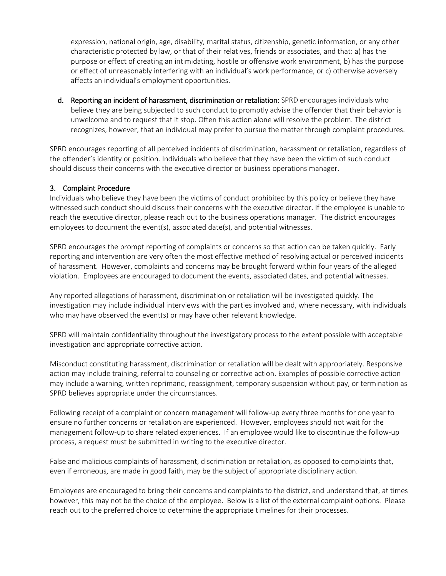expression, national origin, age, disability, marital status, citizenship, genetic information, or any other characteristic protected by law, or that of their relatives, friends or associates, and that: a) has the purpose or effect of creating an intimidating, hostile or offensive work environment, b) has the purpose or effect of unreasonably interfering with an individual's work performance, or c) otherwise adversely affects an individual's employment opportunities.

d. Reporting an incident of harassment, discrimination or retaliation: SPRD encourages individuals who believe they are being subjected to such conduct to promptly advise the offender that their behavior is unwelcome and to request that it stop. Often this action alone will resolve the problem. The district recognizes, however, that an individual may prefer to pursue the matter through complaint procedures.

SPRD encourages reporting of all perceived incidents of discrimination, harassment or retaliation, regardless of the offender's identity or position. Individuals who believe that they have been the victim of such conduct should discuss their concerns with the executive director or business operations manager.

#### 3. Complaint Procedure

Individuals who believe they have been the victims of conduct prohibited by this policy or believe they have witnessed such conduct should discuss their concerns with the executive director. If the employee is unable to reach the executive director, please reach out to the business operations manager. The district encourages employees to document the event(s), associated date(s), and potential witnesses.

SPRD encourages the prompt reporting of complaints or concerns so that action can be taken quickly. Early reporting and intervention are very often the most effective method of resolving actual or perceived incidents of harassment. However, complaints and concerns may be brought forward within four years of the alleged violation. Employees are encouraged to document the events, associated dates, and potential witnesses.

Any reported allegations of harassment, discrimination or retaliation will be investigated quickly. The investigation may include individual interviews with the parties involved and, where necessary, with individuals who may have observed the event(s) or may have other relevant knowledge.

SPRD will maintain confidentiality throughout the investigatory process to the extent possible with acceptable investigation and appropriate corrective action.

Misconduct constituting harassment, discrimination or retaliation will be dealt with appropriately. Responsive action may include training, referral to counseling or corrective action. Examples of possible corrective action may include a warning, written reprimand, reassignment, temporary suspension without pay, or termination as SPRD believes appropriate under the circumstances.

Following receipt of a complaint or concern management will follow-up every three months for one year to ensure no further concerns or retaliation are experienced. However, employees should not wait for the management follow-up to share related experiences. If an employee would like to discontinue the follow-up process, a request must be submitted in writing to the executive director.

False and malicious complaints of harassment, discrimination or retaliation, as opposed to complaints that, even if erroneous, are made in good faith, may be the subject of appropriate disciplinary action.

Employees are encouraged to bring their concerns and complaints to the district, and understand that, at times however, this may not be the choice of the employee. Below is a list of the external complaint options. Please reach out to the preferred choice to determine the appropriate timelines for their processes.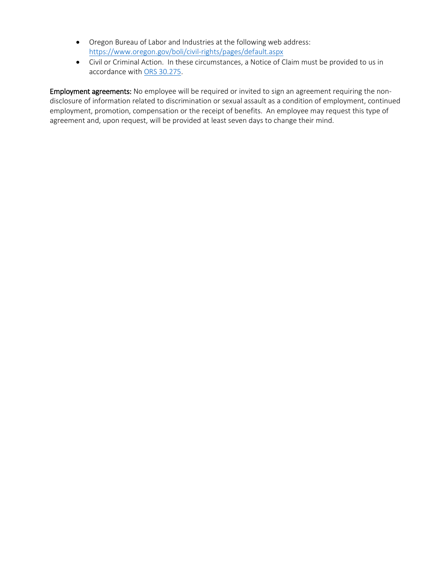- Oregon Bureau of Labor and Industries at the following web address: <https://www.oregon.gov/boli/civil-rights/pages/default.aspx>
- Civil or Criminal Action. In these circumstances, a Notice of Claim must be provided to us in accordance wit[h ORS 30.275.](https://www.oregonlegislature.gov/bills_laws/ors/ors030.html)

Employment agreements: No employee will be required or invited to sign an agreement requiring the nondisclosure of information related to discrimination or sexual assault as a condition of employment, continued employment, promotion, compensation or the receipt of benefits. An employee may request this type of agreement and, upon request, will be provided at least seven days to change their mind.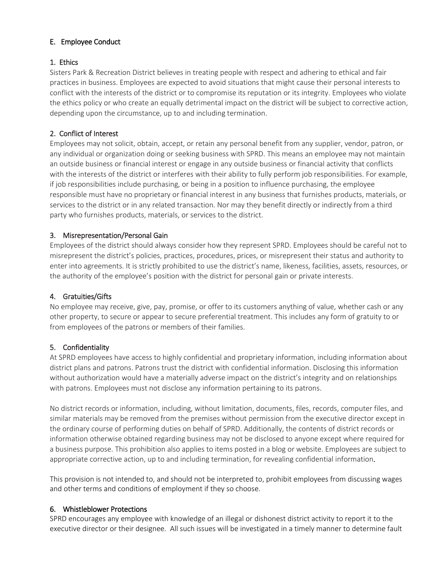## E. Employee Conduct

### 1. Ethics

Sisters Park & Recreation District believes in treating people with respect and adhering to ethical and fair practices in business. Employees are expected to avoid situations that might cause their personal interests to conflict with the interests of the district or to compromise its reputation or its integrity. Employees who violate the ethics policy or who create an equally detrimental impact on the district will be subject to corrective action, depending upon the circumstance, up to and including termination.

## 2. Conflict of Interest

Employees may not solicit, obtain, accept, or retain any personal benefit from any supplier, vendor, patron, or any individual or organization doing or seeking business with SPRD. This means an employee may not maintain an outside business or financial interest or engage in any outside business or financial activity that conflicts with the interests of the district or interferes with their ability to fully perform job responsibilities. For example, if job responsibilities include purchasing, or being in a position to influence purchasing, the employee responsible must have no proprietary or financial interest in any business that furnishes products, materials, or services to the district or in any related transaction. Nor may they benefit directly or indirectly from a third party who furnishes products, materials, or services to the district.

### 3. Misrepresentation/Personal Gain

Employees of the district should always consider how they represent SPRD. Employees should be careful not to misrepresent the district's policies, practices, procedures, prices, or misrepresent their status and authority to enter into agreements. It is strictly prohibited to use the district's name, likeness, facilities, assets, resources, or the authority of the employee's position with the district for personal gain or private interests.

### 4. Gratuities/Gifts

No employee may receive, give, pay, promise, or offer to its customers anything of value, whether cash or any other property, to secure or appear to secure preferential treatment. This includes any form of gratuity to or from employees of the patrons or members of their families.

### 5. Confidentiality

At SPRD employees have access to highly confidential and proprietary information, including information about district plans and patrons. Patrons trust the district with confidential information. Disclosing this information without authorization would have a materially adverse impact on the district's integrity and on relationships with patrons. Employees must not disclose any information pertaining to its patrons.

No district records or information, including, without limitation, documents, files, records, computer files, and similar materials may be removed from the premises without permission from the executive director except in the ordinary course of performing duties on behalf of SPRD. Additionally, the contents of district records or information otherwise obtained regarding business may not be disclosed to anyone except where required for a business purpose. This prohibition also applies to items posted in a blog or website. Employees are subject to appropriate corrective action, up to and including termination, for revealing confidential information.

This provision is not intended to, and should not be interpreted to, prohibit employees from discussing wages and other terms and conditions of employment if they so choose.

### 6. Whistleblower Protections

SPRD encourages any employee with knowledge of an illegal or dishonest district activity to report it to the executive director or their designee. All such issues will be investigated in a timely manner to determine fault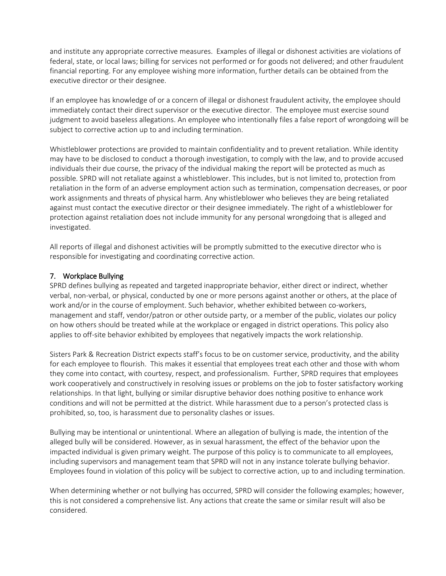and institute any appropriate corrective measures. Examples of illegal or dishonest activities are violations of federal, state, or local laws; billing for services not performed or for goods not delivered; and other fraudulent financial reporting. For any employee wishing more information, further details can be obtained from the executive director or their designee.

If an employee has knowledge of or a concern of illegal or dishonest fraudulent activity, the employee should immediately contact their direct supervisor or the executive director. The employee must exercise sound judgment to avoid baseless allegations. An employee who intentionally files a false report of wrongdoing will be subject to corrective action up to and including termination.

Whistleblower protections are provided to maintain confidentiality and to prevent retaliation. While identity may have to be disclosed to conduct a thorough investigation, to comply with the law, and to provide accused individuals their due course, the privacy of the individual making the report will be protected as much as possible. SPRD will not retaliate against a whistleblower. This includes, but is not limited to, protection from retaliation in the form of an adverse employment action such as termination, compensation decreases, or poor work assignments and threats of physical harm. Any whistleblower who believes they are being retaliated against must contact the executive director or their designee immediately. The right of a whistleblower for protection against retaliation does not include immunity for any personal wrongdoing that is alleged and investigated.

All reports of illegal and dishonest activities will be promptly submitted to the executive director who is responsible for investigating and coordinating corrective action.

### 7. Workplace Bullying

SPRD defines bullying as repeated and targeted inappropriate behavior, either direct or indirect, whether verbal, non-verbal, or physical, conducted by one or more persons against another or others, at the place of work and/or in the course of employment. Such behavior, whether exhibited between co-workers, management and staff, vendor/patron or other outside party, or a member of the public, violates our policy on how others should be treated while at the workplace or engaged in district operations. This policy also applies to off-site behavior exhibited by employees that negatively impacts the work relationship.

Sisters Park & Recreation District expects staff's focus to be on customer service, productivity, and the ability for each employee to flourish.This makes it essential that employees treat each other and those with whom they come into contact, with courtesy, respect, and professionalism. Further, SPRD requires that employees work cooperatively and constructively in resolving issues or problems on the job to foster satisfactory working relationships. In that light, bullying or similar disruptive behavior does nothing positive to enhance work conditions and will not be permitted at the district. While harassment due to a person's protected class is prohibited, so, too, is harassment due to personality clashes or issues.

Bullying may be intentional or unintentional. Where an allegation of bullying is made, the intention of the alleged bully will be considered. However, as in sexual harassment, the effect of the behavior upon the impacted individual is given primary weight. The purpose of this policy is to communicate to all employees, including supervisors and management team that SPRD will not in any instance tolerate bullying behavior. Employees found in violation of this policy will be subject to corrective action, up to and including termination.

When determining whether or not bullying has occurred, SPRD will consider the following examples; however, this is not considered a comprehensive list. Any actions that create the same or similar result will also be considered.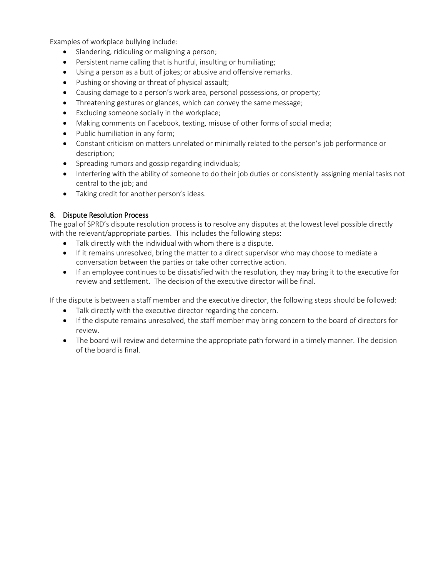Examples of workplace bullying include:

- Slandering, ridiculing or maligning a person;
- Persistent name calling that is hurtful, insulting or humiliating;
- Using a person as a butt of jokes; or abusive and offensive remarks.
- Pushing or shoving or threat of physical assault;
- Causing damage to a person's work area, personal possessions, or property;
- Threatening gestures or glances, which can convey the same message;
- Excluding someone socially in the workplace;
- Making comments on Facebook, texting, misuse of other forms of social media;
- Public humiliation in any form;
- Constant criticism on matters unrelated or minimally related to the person's job performance or description;
- Spreading rumors and gossip regarding individuals;
- Interfering with the ability of someone to do their job duties or consistently assigning menial tasks not central to the job; and
- Taking credit for another person's ideas.

#### 8. Dispute Resolution Process

The goal of SPRD's dispute resolution process is to resolve any disputes at the lowest level possible directly with the relevant/appropriate parties. This includes the following steps:

- Talk directly with the individual with whom there is a dispute.
- If it remains unresolved, bring the matter to a direct supervisor who may choose to mediate a conversation between the parties or take other corrective action.
- If an employee continues to be dissatisfied with the resolution, they may bring it to the executive for review and settlement. The decision of the executive director will be final.

If the dispute is between a staff member and the executive director, the following steps should be followed:

- Talk directly with the executive director regarding the concern.
- If the dispute remains unresolved, the staff member may bring concern to the board of directors for review.
- The board will review and determine the appropriate path forward in a timely manner. The decision of the board is final.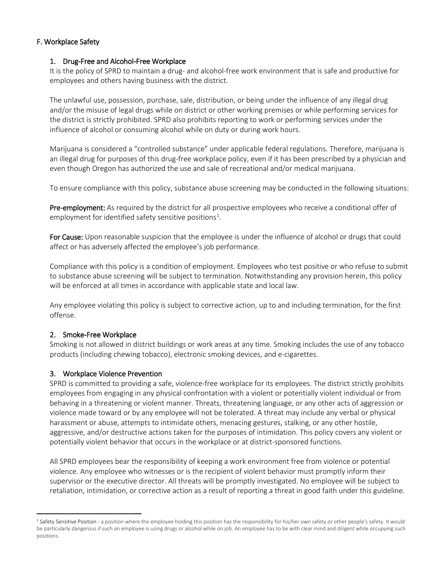#### F. Workplace Safety

#### 1. Drug-Free and Alcohol-Free Workplace

It is the policy of SPRD to maintain a drug- and alcohol-free work environment that is safe and productive for employees and others having business with the district.

The unlawful use, possession, purchase, sale, distribution, or being under the influence of any illegal drug and/or the misuse of legal drugs while on district or other working premises or while performing services for the district is strictly prohibited. SPRD also prohibits reporting to work or performing services under the influence of alcohol or consuming alcohol while on duty or during work hours.

Marijuana is considered a "controlled substance" under applicable federal regulations. Therefore, marijuana is an illegal drug for purposes of this drug-free workplace policy, even if it has been prescribed by a physician and even though Oregon has authorized the use and sale of recreational and/or medical marijuana.

To ensure compliance with this policy, substance abuse screening may be conducted in the following situations:

Pre-employment: As required by the district for all prospective employees who receive a conditional offer of employment for identified safety sensitive positions<sup>[1](#page-21-0)</sup>.

For Cause: Upon reasonable suspicion that the employee is under the influence of alcohol or drugs that could affect or has adversely affected the employee's job performance.

Compliance with this policy is a condition of employment. Employees who test positive or who refuse to submit to substance abuse screening will be subject to termination. Notwithstanding any provision herein, this policy will be enforced at all times in accordance with applicable state and local law.

Any employee violating this policy is subject to corrective action, up to and including termination, for the first offense.

#### 2. Smoke-Free Workplace

 $\overline{a}$ 

Smoking is not allowed in district buildings or work areas at any time. Smoking includes the use of any tobacco products (including chewing tobacco), electronic smoking devices, and e-cigarettes.

#### 3. Workplace Violence Prevention

SPRD is committed to providing a safe, violence-free workplace for its employees. The district strictly prohibits employees from engaging in any physical confrontation with a violent or potentially violent individual or from behaving in a threatening or violent manner. Threats, threatening language, or any other acts of aggression or violence made toward or by any employee will not be tolerated. A threat may include any verbal or physical harassment or abuse, attempts to intimidate others, menacing gestures, stalking, or any other hostile, aggressive, and/or destructive actions taken for the purposes of intimidation. This policy covers any violent or potentially violent behavior that occurs in the workplace or at district-sponsored functions.

All SPRD employees bear the responsibility of keeping a work environment free from violence or potential violence. Any employee who witnesses or is the recipient of violent behavior must promptly inform their supervisor or the executive director. All threats will be promptly investigated. No employee will be subject to retaliation, intimidation, or corrective action as a result of reporting a threat in good faith under this guideline.

<span id="page-21-0"></span><sup>&</sup>lt;sup>1</sup> Safety Sensitive Position - a position where the employee holding this position has the responsibility for his/her own safety or other people's safety. It would be particularly dangerous if such an employee is using drugs or alcohol while on job. An employee has to be with clear mind and diligent while occupying such positions.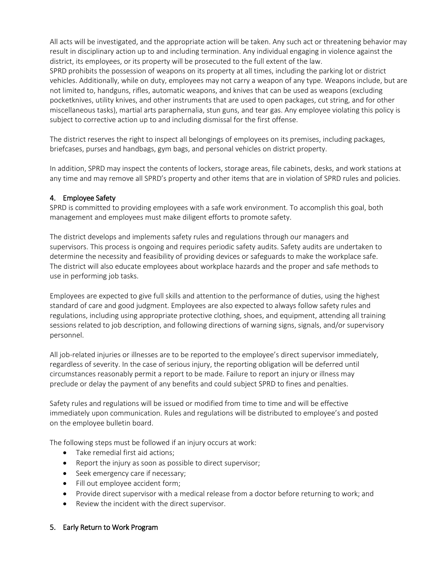All acts will be investigated, and the appropriate action will be taken. Any such act or threatening behavior may result in disciplinary action up to and including termination. Any individual engaging in violence against the district, its employees, or its property will be prosecuted to the full extent of the law.

SPRD prohibits the possession of weapons on its property at all times, including the parking lot or district vehicles. Additionally, while on duty, employees may not carry a weapon of any type. Weapons include, but are not limited to, handguns, rifles, automatic weapons, and knives that can be used as weapons (excluding pocketknives, utility knives, and other instruments that are used to open packages, cut string, and for other miscellaneous tasks), martial arts paraphernalia, stun guns, and tear gas. Any employee violating this policy is subject to corrective action up to and including dismissal for the first offense.

The district reserves the right to inspect all belongings of employees on its premises, including packages, briefcases, purses and handbags, gym bags, and personal vehicles on district property.

In addition, SPRD may inspect the contents of lockers, storage areas, file cabinets, desks, and work stations at any time and may remove all SPRD's property and other items that are in violation of SPRD rules and policies.

## 4. Employee Safety

SPRD is committed to providing employees with a safe work environment. To accomplish this goal, both management and employees must make diligent efforts to promote safety.

The district develops and implements safety rules and regulations through our managers and supervisors. This process is ongoing and requires periodic safety audits. Safety audits are undertaken to determine the necessity and feasibility of providing devices or safeguards to make the workplace safe. The district will also educate employees about workplace hazards and the proper and safe methods to use in performing job tasks.

Employees are expected to give full skills and attention to the performance of duties, using the highest standard of care and good judgment. Employees are also expected to always follow safety rules and regulations, including using appropriate protective clothing, shoes, and equipment, attending all training sessions related to job description, and following directions of warning signs, signals, and/or supervisory personnel.

All job-related injuries or illnesses are to be reported to the employee's direct supervisor immediately, regardless of severity. In the case of serious injury, the reporting obligation will be deferred until circumstances reasonably permit a report to be made. Failure to report an injury or illness may preclude or delay the payment of any benefits and could subject SPRD to fines and penalties.

Safety rules and regulations will be issued or modified from time to time and will be effective immediately upon communication. Rules and regulations will be distributed to employee's and posted on the employee bulletin board.

The following steps must be followed if an injury occurs at work:

- Take remedial first aid actions;
- Report the injury as soon as possible to direct supervisor;
- Seek emergency care if necessary;
- Fill out employee accident form;
- Provide direct supervisor with a medical release from a doctor before returning to work; and
- Review the incident with the direct supervisor.

### 5. Early Return to Work Program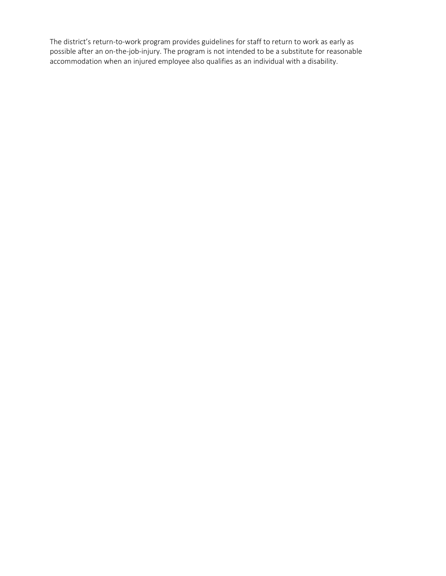The district's return-to-work program provides guidelines for staff to return to work as early as possible after an on-the-job-injury. The program is not intended to be a substitute for reasonable accommodation when an injured employee also qualifies as an individual with a disability.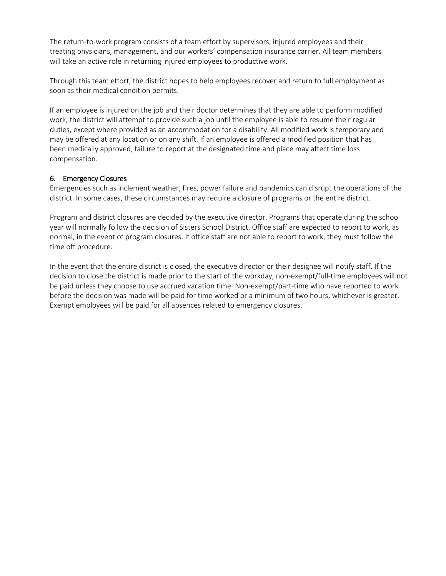The return-to-work program consists of a team effort by supervisors, injured employees and their treating physicians, management, and our workers' compensation insurance carrier. All team members will take an active role in returning injured employees to productive work.

Through this team effort, the district hopes to help employees recover and return to full employment as soon as their medical condition permits.

If an employee is injured on the job and their doctor determines that they are able to perform modified work, the district will attempt to provide such a job until the employee is able to resume their regular duties, except where provided as an accommodation for a disability. All modified work is temporary and may be offered at any location or on any shift. If an employee is offered a modified position that has been medically approved, failure to report at the designated time and place may affect time loss compensation.

### 6. Emergency Closures

Emergencies such as inclement weather, fires, power failure and pandemics can disrupt the operations of the district. In some cases, these circumstances may require a closure of programs or the entire district.

Program and district closures are decided by the executive director. Programs that operate during the school year will normally follow the decision of Sisters School District. Office staff are expected to report to work, as normal, in the event of program closures. If office staff are not able to report to work, they must follow the time off procedure.

In the event that the entire district is closed, the executive director or their designee will notify staff. If the decision to close the district is made prior to the start of the workday, non-exempt/full-time employees will not be paid unless they choose to use accrued vacation time. Non-exempt/part-time who have reported to work before the decision was made will be paid for time worked or a minimum of two hours, whichever is greater. Exempt employees will be paid for all absences related to emergency closures.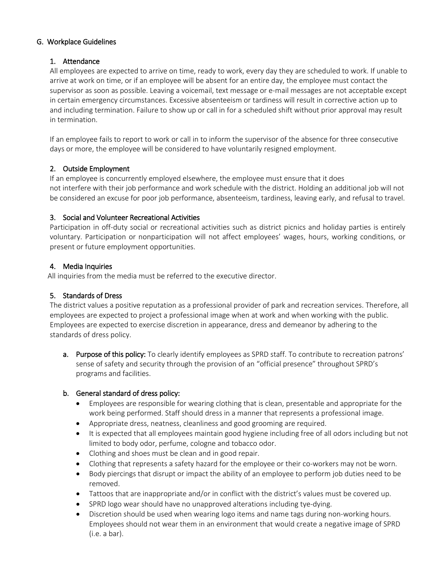### G. Workplace Guidelines

## 1. Attendance

All employees are expected to arrive on time, ready to work, every day they are scheduled to work. If unable to arrive at work on time, or if an employee will be absent for an entire day, the employee must contact the supervisor as soon as possible. Leaving a voicemail, text message or e-mail messages are not acceptable except in certain emergency circumstances. Excessive absenteeism or tardiness will result in corrective action up to and including termination. Failure to show up or call in for a scheduled shift without prior approval may result in termination.

If an employee fails to report to work or call in to inform the supervisor of the absence for three consecutive days or more, the employee will be considered to have voluntarily resigned employment.

## 2. Outside Employment

If an employee is concurrently employed elsewhere, the employee must ensure that it does not interfere with their job performance and work schedule with the district. Holding an additional job will not be considered an excuse for poor job performance, absenteeism, tardiness, leaving early, and refusal to travel.

## 3. Social and Volunteer Recreational Activities

Participation in off-duty social or recreational activities such as district picnics and holiday parties is entirely voluntary. Participation or nonparticipation will not affect employees' wages, hours, working conditions, or present or future employment opportunities.

## 4. Media Inquiries

All inquiries from the media must be referred to the executive director.

## 5. Standards of Dress

The district values a positive reputation as a professional provider of park and recreation services. Therefore, all employees are expected to project a professional image when at work and when working with the public. Employees are expected to exercise discretion in appearance, dress and demeanor by adhering to the standards of dress policy.

a. Purpose of this policy: To clearly identify employees as SPRD staff. To contribute to recreation patrons' sense of safety and security through the provision of an "official presence" throughout SPRD's programs and facilities.

### b. General standard of dress policy:

- Employees are responsible for wearing clothing that is clean, presentable and appropriate for the work being performed. Staff should dress in a manner that represents a professional image.
- Appropriate dress, neatness, cleanliness and good grooming are required.
- It is expected that all employees maintain good hygiene including free of all odors including but not limited to body odor, perfume, cologne and tobacco odor.
- Clothing and shoes must be clean and in good repair.
- Clothing that represents a safety hazard for the employee or their co-workers may not be worn.
- Body piercings that disrupt or impact the ability of an employee to perform job duties need to be removed.
- Tattoos that are inappropriate and/or in conflict with the district's values must be covered up.
- SPRD logo wear should have no unapproved alterations including tye-dying.
- Discretion should be used when wearing logo items and name tags during non-working hours. Employees should not wear them in an environment that would create a negative image of SPRD (i.e. a bar).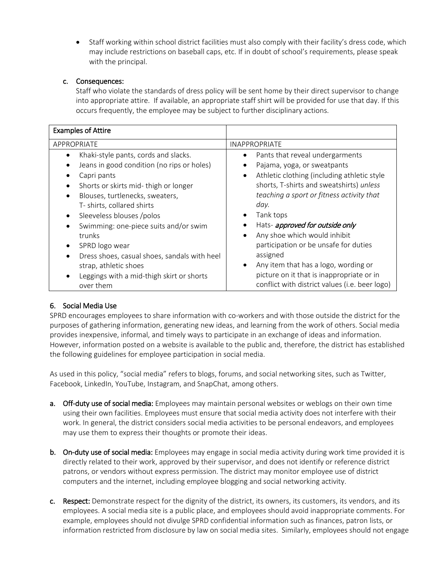• Staff working within school district facilities must also comply with their facility's dress code, which may include restrictions on baseball caps, etc. If in doubt of school's requirements, please speak with the principal.

## c. Consequences:

Staff who violate the standards of dress policy will be sent home by their direct supervisor to change into appropriate attire. If available, an appropriate staff shirt will be provided for use that day. If this occurs frequently, the employee may be subject to further disciplinary actions.

| <b>Examples of Attire</b>                                                                                                                                                                                                                                                                                                                                                                                                                       |                                                                                                                                                                                                                                                                                                                                                                                                                                                                                            |  |
|-------------------------------------------------------------------------------------------------------------------------------------------------------------------------------------------------------------------------------------------------------------------------------------------------------------------------------------------------------------------------------------------------------------------------------------------------|--------------------------------------------------------------------------------------------------------------------------------------------------------------------------------------------------------------------------------------------------------------------------------------------------------------------------------------------------------------------------------------------------------------------------------------------------------------------------------------------|--|
| APPROPRIATE                                                                                                                                                                                                                                                                                                                                                                                                                                     | <b>INAPPROPRIATE</b>                                                                                                                                                                                                                                                                                                                                                                                                                                                                       |  |
| Khaki-style pants, cords and slacks.<br>Jeans in good condition (no rips or holes)<br>Capri pants<br>Shorts or skirts mid-thigh or longer<br>Blouses, turtlenecks, sweaters,<br>T- shirts, collared shirts<br>Sleeveless blouses /polos<br>Swimming: one-piece suits and/or swim<br>trunks<br>SPRD logo wear<br>Dress shoes, casual shoes, sandals with heel<br>strap, athletic shoes<br>Leggings with a mid-thigh skirt or shorts<br>over them | Pants that reveal undergarments<br>Pajama, yoga, or sweatpants<br>Athletic clothing (including athletic style<br>shorts, T-shirts and sweatshirts) unless<br>teaching a sport or fitness activity that<br>day.<br>Tank tops<br>Hats- approved for outside only<br>Any shoe which would inhibit<br>participation or be unsafe for duties<br>assigned<br>Any item that has a logo, wording or<br>picture on it that is inappropriate or in<br>conflict with district values (i.e. beer logo) |  |

## 6. Social Media Use

SPRD encourages employees to share information with co-workers and with those outside the district for the purposes of gathering information, generating new ideas, and learning from the work of others. Social media provides inexpensive, informal, and timely ways to participate in an exchange of ideas and information. However, information posted on a website is available to the public and, therefore, the district has established the following guidelines for employee participation in social media.

As used in this policy, "social media" refers to blogs, forums, and social networking sites, such as Twitter, Facebook, LinkedIn, YouTube, Instagram, and SnapChat, among others.

- a. Off-duty use of social media: Employees may maintain personal websites or weblogs on their own time using their own facilities. Employees must ensure that social media activity does not interfere with their work. In general, the district considers social media activities to be personal endeavors, and employees may use them to express their thoughts or promote their ideas.
- b. On-duty use of social media: Employees may engage in social media activity during work time provided it is directly related to their work, approved by their supervisor, and does not identify or reference district patrons, or vendors without express permission. The district may monitor employee use of district computers and the internet, including employee blogging and social networking activity.
- c. Respect: Demonstrate respect for the dignity of the district, its owners, its customers, its vendors, and its employees. A social media site is a public place, and employees should avoid inappropriate comments. For example, employees should not divulge SPRD confidential information such as finances, patron lists, or information restricted from disclosure by law on social media sites. Similarly, employees should not engage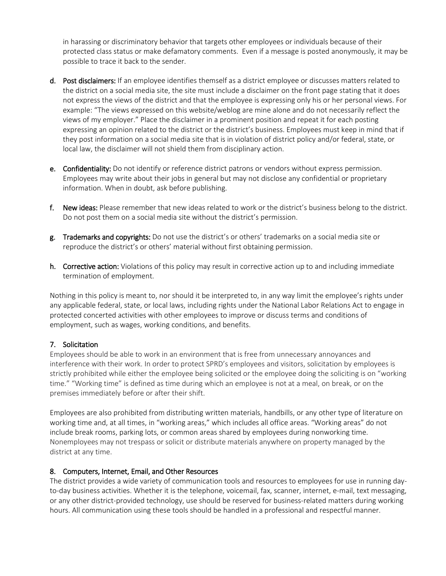in harassing or discriminatory behavior that targets other employees or individuals because of their protected class status or make defamatory comments. Even if a message is posted anonymously, it may be possible to trace it back to the sender.

- d. Post disclaimers: If an employee identifies themself as a district employee or discusses matters related to the district on a social media site, the site must include a disclaimer on the front page stating that it does not express the views of the district and that the employee is expressing only his or her personal views. For example: "The views expressed on this website/weblog are mine alone and do not necessarily reflect the views of my employer." Place the disclaimer in a prominent position and repeat it for each posting expressing an opinion related to the district or the district's business. Employees must keep in mind that if they post information on a social media site that is in violation of district policy and/or federal, state, or local law, the disclaimer will not shield them from disciplinary action.
- e. Confidentiality: Do not identify or reference district patrons or vendors without express permission. Employees may write about their jobs in general but may not disclose any confidential or proprietary information. When in doubt, ask before publishing.
- f. New ideas: Please remember that new ideas related to work or the district's business belong to the district. Do not post them on a social media site without the district's permission.
- g. Trademarks and copyrights: Do not use the district's or others' trademarks on a social media site or reproduce the district's or others' material without first obtaining permission.
- h. Corrective action: Violations of this policy may result in corrective action up to and including immediate termination of employment.

Nothing in this policy is meant to, nor should it be interpreted to, in any way limit the employee's rights under any applicable federal, state, or local laws, including rights under the National Labor Relations Act to engage in protected concerted activities with other employees to improve or discuss terms and conditions of employment, such as wages, working conditions, and benefits.

### 7. Solicitation

Employees should be able to work in an environment that is free from unnecessary annoyances and interference with their work. In order to protect SPRD's employees and visitors, solicitation by employees is strictly prohibited while either the employee being solicited or the employee doing the soliciting is on "working time." "Working time" is defined as time during which an employee is not at a meal, on break, or on the premises immediately before or after their shift.

Employees are also prohibited from distributing written materials, handbills, or any other type of literature on working time and, at all times, in "working areas," which includes all office areas. "Working areas" do not include break rooms, parking lots, or common areas shared by employees during nonworking time. Nonemployees may not trespass or solicit or distribute materials anywhere on property managed by the district at any time.

#### 8. Computers, Internet, Email, and Other Resources

The district provides a wide variety of communication tools and resources to employees for use in running dayto-day business activities. Whether it is the telephone, voicemail, fax, scanner, internet, e-mail, text messaging, or any other district-provided technology, use should be reserved for business-related matters during working hours. All communication using these tools should be handled in a professional and respectful manner.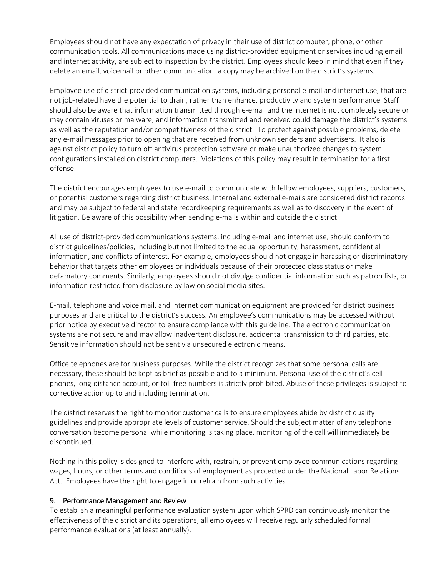Employees should not have any expectation of privacy in their use of district computer, phone, or other communication tools. All communications made using district-provided equipment or services including email and internet activity, are subject to inspection by the district. Employees should keep in mind that even if they delete an email, voicemail or other communication, a copy may be archived on the district's systems.

Employee use of district-provided communication systems, including personal e-mail and internet use, that are not job-related have the potential to drain, rather than enhance, productivity and system performance. Staff should also be aware that information transmitted through e-email and the internet is not completely secure or may contain viruses or malware, and information transmitted and received could damage the district's systems as well as the reputation and/or competitiveness of the district. To protect against possible problems, delete any e-mail messages prior to opening that are received from unknown senders and advertisers. It also is against district policy to turn off antivirus protection software or make unauthorized changes to system configurations installed on district computers. Violations of this policy may result in termination for a first offense.

The district encourages employees to use e-mail to communicate with fellow employees, suppliers, customers, or potential customers regarding district business. Internal and external e-mails are considered district records and may be subject to federal and state recordkeeping requirements as well as to discovery in the event of litigation. Be aware of this possibility when sending e-mails within and outside the district.

All use of district-provided communications systems, including e-mail and internet use, should conform to district guidelines/policies, including but not limited to the equal opportunity, harassment, confidential information, and conflicts of interest. For example, employees should not engage in harassing or discriminatory behavior that targets other employees or individuals because of their protected class status or make defamatory comments. Similarly, employees should not divulge confidential information such as patron lists, or information restricted from disclosure by law on social media sites.

E-mail, telephone and voice mail, and internet communication equipment are provided for district business purposes and are critical to the district's success. An employee's communications may be accessed without prior notice by executive director to ensure compliance with this guideline. The electronic communication systems are not secure and may allow inadvertent disclosure, accidental transmission to third parties, etc. Sensitive information should not be sent via unsecured electronic means.

Office telephones are for business purposes. While the district recognizes that some personal calls are necessary, these should be kept as brief as possible and to a minimum. Personal use of the district's cell phones, long-distance account, or toll-free numbers is strictly prohibited. Abuse of these privileges is subject to corrective action up to and including termination.

The district reserves the right to monitor customer calls to ensure employees abide by district quality guidelines and provide appropriate levels of customer service. Should the subject matter of any telephone conversation become personal while monitoring is taking place, monitoring of the call will immediately be discontinued.

Nothing in this policy is designed to interfere with, restrain, or prevent employee communications regarding wages, hours, or other terms and conditions of employment as protected under the National Labor Relations Act. Employees have the right to engage in or refrain from such activities.

#### 9. Performance Management and Review

To establish a meaningful performance evaluation system upon which SPRD can continuously monitor the effectiveness of the district and its operations, all employees will receive regularly scheduled formal performance evaluations (at least annually).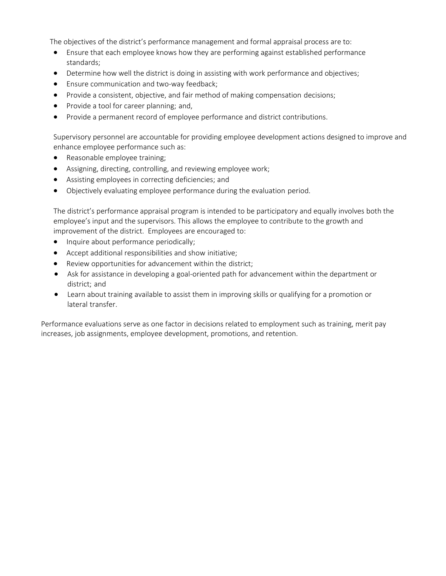The objectives of the district's performance management and formal appraisal process are to:

- Ensure that each employee knows how they are performing against established performance standards;
- Determine how well the district is doing in assisting with work performance and objectives;
- Ensure communication and two-way feedback;
- Provide a consistent, objective, and fair method of making compensation decisions;
- Provide a tool for career planning; and,
- Provide a permanent record of employee performance and district contributions.

Supervisory personnel are accountable for providing employee development actions designed to improve and enhance employee performance such as:

- Reasonable employee training;
- Assigning, directing, controlling, and reviewing employee work;
- Assisting employees in correcting deficiencies; and
- Objectively evaluating employee performance during the evaluation period.

The district's performance appraisal program is intended to be participatory and equally involves both the employee's input and the supervisors. This allows the employee to contribute to the growth and improvement of the district. Employees are encouraged to:

- Inquire about performance periodically;
- Accept additional responsibilities and show initiative;
- Review opportunities for advancement within the district;
- Ask for assistance in developing a goal-oriented path for advancement within the department or district; and
- Learn about training available to assist them in improving skills or qualifying for a promotion or lateral transfer.

Performance evaluations serve as one factor in decisions related to employment such as training, merit pay increases, job assignments, employee development, promotions, and retention.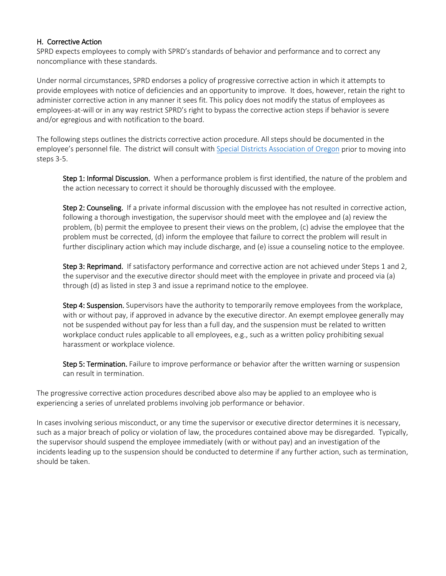#### H. Corrective Action

SPRD expects employees to comply with SPRD's standards of behavior and performance and to correct any noncompliance with these standards.

Under normal circumstances, SPRD endorses a policy of progressive corrective action in which it attempts to provide employees with notice of deficiencies and an opportunity to improve. It does, however, retain the right to administer corrective action in any manner it sees fit. This policy does not modify the status of employees as employees-at-will or in any way restrict SPRD's right to bypass the corrective action steps if behavior is severe and/or egregious and with notification to the board.

The following steps outlines the districts corrective action procedure. All steps should be documented in the employee's personnel file. The district will consult wit[h Special Districts Association of Oregon](https://www.sdao.com/) prior to moving into steps 3-5.

Step 1: Informal Discussion. When a performance problem is first identified, the nature of the problem and the action necessary to correct it should be thoroughly discussed with the employee.

Step 2: Counseling. If a private informal discussion with the employee has not resulted in corrective action, following a thorough investigation, the supervisor should meet with the employee and (a) review the problem, (b) permit the employee to present their views on the problem, (c) advise the employee that the problem must be corrected, (d) inform the employee that failure to correct the problem will result in further disciplinary action which may include discharge, and (e) issue a counseling notice to the employee.

Step 3: Reprimand. If satisfactory performance and corrective action are not achieved under Steps 1 and 2, the supervisor and the executive director should meet with the employee in private and proceed via (a) through (d) as listed in step 3 and issue a reprimand notice to the employee.

Step 4: Suspension. Supervisors have the authority to temporarily remove employees from the workplace, with or without pay, if approved in advance by the executive director. An exempt employee generally may not be suspended without pay for less than a full day, and the suspension must be related to written workplace conduct rules applicable to all employees, e.g., such as a written policy prohibiting sexual harassment or workplace violence.

Step 5: Termination. Failure to improve performance or behavior after the written warning or suspension can result in termination.

The progressive corrective action procedures described above also may be applied to an employee who is experiencing a series of unrelated problems involving job performance or behavior.

In cases involving serious misconduct, or any time the supervisor or executive director determines it is necessary, such as a major breach of policy or violation of law, the procedures contained above may be disregarded. Typically, the supervisor should suspend the employee immediately (with or without pay) and an investigation of the incidents leading up to the suspension should be conducted to determine if any further action, such as termination, should be taken.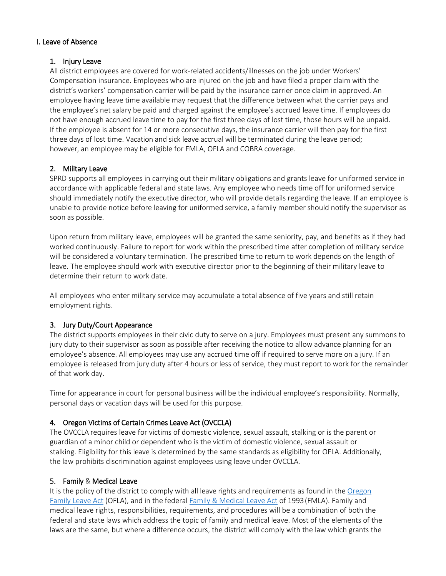#### I. Leave of Absence

#### 1. Injury Leave

All district employees are covered for work-related accidents/illnesses on the job under Workers' Compensation insurance. Employees who are injured on the job and have filed a proper claim with the district's workers' compensation carrier will be paid by the insurance carrier once claim in approved. An employee having leave time available may request that the difference between what the carrier pays and the employee's net salary be paid and charged against the employee's accrued leave time. If employees do not have enough accrued leave time to pay for the first three days of lost time, those hours will be unpaid. If the employee is absent for 14 or more consecutive days, the insurance carrier will then pay for the first three days of lost time. Vacation and sick leave accrual will be terminated during the leave period; however, an employee may be eligible for FMLA, OFLA and COBRA coverage.

### 2. Military Leave

SPRD supports all employees in carrying out their military obligations and grants leave for uniformed service in accordance with applicable federal and state laws. Any employee who needs time off for uniformed service should immediately notify the executive director, who will provide details regarding the leave. If an employee is unable to provide notice before leaving for uniformed service, a family member should notify the supervisor as soon as possible.

Upon return from military leave, employees will be granted the same seniority, pay, and benefits as if they had worked continuously. Failure to report for work within the prescribed time after completion of military service will be considered a voluntary termination. The prescribed time to return to work depends on the length of leave. The employee should work with executive director prior to the beginning of their military leave to determine their return to work date.

All employees who enter military service may accumulate a total absence of five years and still retain employment rights.

### 3. Jury Duty/Court Appearance

The district supports employees in their civic duty to serve on a jury. Employees must present any summons to jury duty to their supervisor as soon as possible after receiving the notice to allow advance planning for an employee's absence. All employees may use any accrued time off if required to serve more on a jury. If an employee is released from jury duty after 4 hours or less of service, they must report to work for the remainder of that work day.

Time for appearance in court for personal business will be the individual employee's responsibility. Normally, personal days or vacation days will be used for this purpose.

### 4. Oregon Victims of Certain Crimes Leave Act (OVCCLA)

The OVCCLA requires leave for victims of domestic violence, sexual assault, stalking or is the parent or guardian of a minor child or dependent who is the victim of domestic violence, sexual assault or stalking. Eligibility for this leave is determined by the same standards as eligibility for OFLA. Additionally, the law prohibits discrimination against employees using leave under OVCCLA.

### 5. Family & Medical Leave

It is the policy of the district to comply with all leave rights and requirements as found in the Oregon [Family Leave Act](https://www.oregon.gov/boli/workers/Pages/oregon-family-leave.aspx) (OFLA), and in the federal [Family & Medical Leave Act](https://www.dol.gov/agencies/whd/fmla) of 1993(FMLA). Family and medical leave rights, responsibilities, requirements, and procedures will be a combination of both the federal and state laws which address the topic of family and medical leave. Most of the elements of the laws are the same, but where a difference occurs, the district will comply with the law which grants the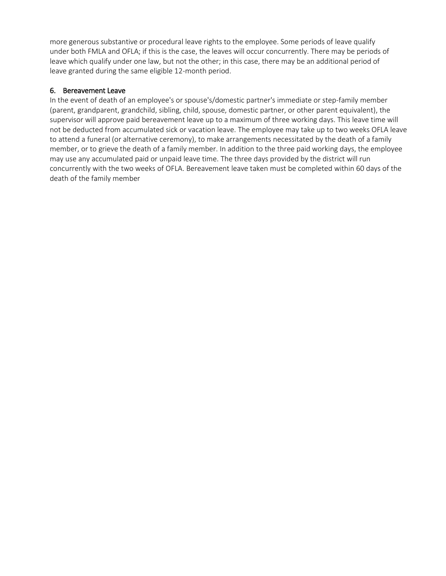more generous substantive or procedural leave rights to the employee. Some periods of leave qualify under both FMLA and OFLA; if this is the case, the leaves will occur concurrently. There may be periods of leave which qualify under one law, but not the other; in this case, there may be an additional period of leave granted during the same eligible 12-month period.

## 6. Bereavement Leave

In the event of death of an employee's or spouse's/domestic partner's immediate or step-family member (parent, grandparent, grandchild, sibling, child, spouse, domestic partner, or other parent equivalent), the supervisor will approve paid bereavement leave up to a maximum of three working days. This leave time will not be deducted from accumulated sick or vacation leave. The employee may take up to two weeks OFLA leave to attend a funeral (or alternative ceremony), to make arrangements necessitated by the death of a family member, or to grieve the death of a family member. In addition to the three paid working days, the employee may use any accumulated paid or unpaid leave time. The three days provided by the district will run concurrently with the two weeks of OFLA. Bereavement leave taken must be completed within 60 days of the death of the family member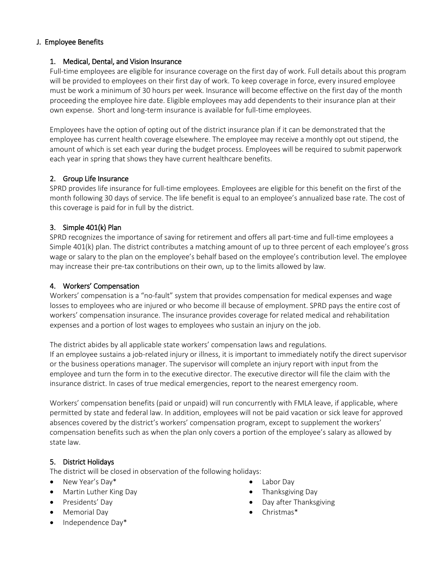#### J. Employee Benefits

#### 1. Medical, Dental, and Vision Insurance

Full-time employees are eligible for insurance coverage on the first day of work. Full details about this program will be provided to employees on their first day of work. To keep coverage in force, every insured employee must be work a minimum of 30 hours per week. Insurance will become effective on the first day of the month proceeding the employee hire date. Eligible employees may add dependents to their insurance plan at their own expense. Short and long-term insurance is available for full-time employees.

Employees have the option of opting out of the district insurance plan if it can be demonstrated that the employee has current health coverage elsewhere. The employee may receive a monthly opt out stipend, the amount of which is set each year during the budget process. Employees will be required to submit paperwork each year in spring that shows they have current healthcare benefits.

### 2. Group Life Insurance

SPRD provides life insurance for full-time employees. Employees are eligible for this benefit on the first of the month following 30 days of service. The life benefit is equal to an employee's annualized base rate. The cost of this coverage is paid for in full by the district.

## 3. Simple 401(k) Plan

SPRD recognizes the importance of saving for retirement and offers all part-time and full-time employees a Simple 401(k) plan. The district contributes a matching amount of up to three percent of each employee's gross wage or salary to the plan on the employee's behalf based on the employee's contribution level. The employee may increase their pre-tax contributions on their own, up to the limits allowed by law.

#### 4. Workers' Compensation

Workers' compensation is a "no-fault" system that provides compensation for medical expenses and wage losses to employees who are injured or who become ill because of employment. SPRD pays the entire cost of workers' compensation insurance. The insurance provides coverage for related medical and rehabilitation expenses and a portion of lost wages to employees who sustain an injury on the job.

The district abides by all applicable state workers' compensation laws and regulations. If an employee sustains a job-related injury or illness, it is important to immediately notify the direct supervisor or the business operations manager. The supervisor will complete an injury report with input from the employee and turn the form in to the executive director. The executive director will file the claim with the insurance district. In cases of true medical emergencies, report to the nearest emergency room.

Workers' compensation benefits (paid or unpaid) will run concurrently with FMLA leave, if applicable, where permitted by state and federal law. In addition, employees will not be paid vacation or sick leave for approved absences covered by the district's workers' compensation program, except to supplement the workers' compensation benefits such as when the plan only covers a portion of the employee's salary as allowed by state law.

### 5. District Holidays

The district will be closed in observation of the following holidays:

- New Year's Day\*
- Martin Luther King Day
- Presidents' Day
- Memorial Day
- Independence Day\*
- Labor Day
- Thanksgiving Day
- Day after Thanksgiving
- Christmas\*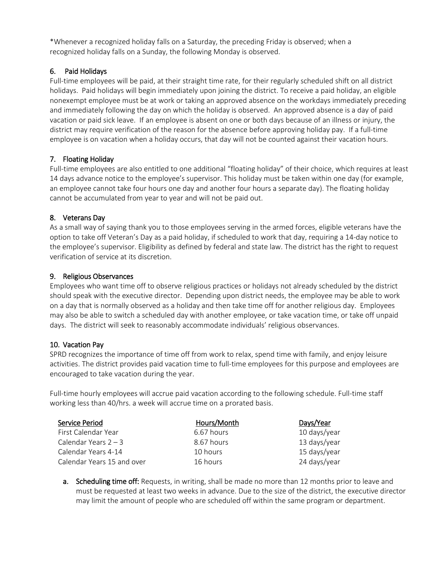\*Whenever a recognized holiday falls on a Saturday, the preceding Friday is observed; when a recognized holiday falls on a Sunday, the following Monday is observed.

### 6. Paid Holidays

Full-time employees will be paid, at their straight time rate, for their regularly scheduled shift on all district holidays. Paid holidays will begin immediately upon joining the district. To receive a paid holiday, an eligible nonexempt employee must be at work or taking an approved absence on the workdays immediately preceding and immediately following the day on which the holiday is observed. An approved absence is a day of paid vacation or paid sick leave. If an employee is absent on one or both days because of an illness or injury, the district may require verification of the reason for the absence before approving holiday pay. If a full-time employee is on vacation when a holiday occurs, that day will not be counted against their vacation hours.

### 7. Floating Holiday

Full-time employees are also entitled to one additional "floating holiday" of their choice, which requires at least 14 days advance notice to the employee's supervisor. This holiday must be taken within one day (for example, an employee cannot take four hours one day and another four hours a separate day). The floating holiday cannot be accumulated from year to year and will not be paid out.

## 8. Veterans Day

As a small way of saying thank you to those employees serving in the armed forces, eligible veterans have the option to take off Veteran's Day as a paid holiday, if scheduled to work that day, requiring a 14-day notice to the employee's supervisor. Eligibility as defined by federal and state law. The district has the right to request verification of service at its discretion.

### 9. Religious Observances

Employees who want time off to observe religious practices or holidays not already scheduled by the district should speak with the executive director. Depending upon district needs, the employee may be able to work on a day that is normally observed as a holiday and then take time off for another religious day. Employees may also be able to switch a scheduled day with another employee, or take vacation time, or take off unpaid days. The district will seek to reasonably accommodate individuals' religious observances.

### 10. Vacation Pay

SPRD recognizes the importance of time off from work to relax, spend time with family, and enjoy leisure activities. The district provides paid vacation time to full-time employees for this purpose and employees are encouraged to take vacation during the year.

Full-time hourly employees will accrue paid vacation according to the following schedule. Full-time staff working less than 40/hrs. a week will accrue time on a prorated basis.

| Service Period             | Hours/Month | Days/Year    |
|----------------------------|-------------|--------------|
| First Calendar Year        | 6.67 hours  | 10 days/year |
| Calendar Years $2 - 3$     | 8.67 hours  | 13 days/year |
| Calendar Years 4-14        | 10 hours    | 15 days/year |
| Calendar Years 15 and over | 16 hours    | 24 days/year |
|                            |             |              |

**a.** Scheduling time off: Requests, in writing, shall be made no more than 12 months prior to leave and must be requested at least two weeks in advance. Due to the size of the district, the executive director may limit the amount of people who are scheduled off within the same program or department.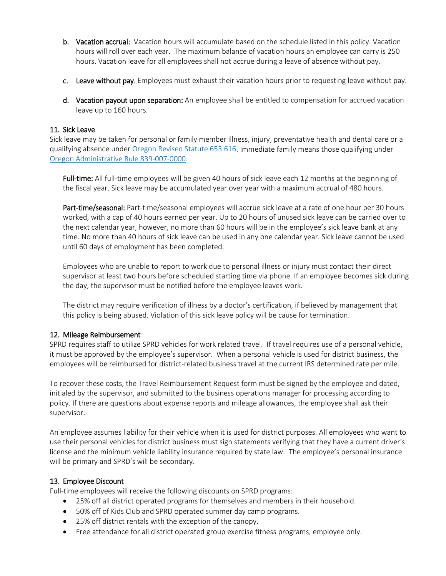- b. Vacation accrual: Vacation hours will accumulate based on the schedule listed in this policy. Vacation hours will roll over each year. The maximum balance of vacation hours an employee can carry is 250 hours. Vacation leave for all employees shall not accrue during a leave of absence without pay.
- c. Leave without pay. Employees must exhaust their vacation hours prior to requesting leave without pay.
- d. Vacation payout upon separation: An employee shall be entitled to compensation for accrued vacation leave up to 160 hours.

#### 11. Sick Leave

Sick leave may be taken for personal or family member illness, injury, preventative health and dental care or a qualifying absence unde[r Oregon Revised Statute](https://www.oregonlaws.org/ors/653.616#:%7E:text=An%20employee%20may%20use%20sick,need%20for%20preventive%20medical%20care.) 653.616. Immediate family means those qualifying under [Oregon Administrative Rule 839-007-0000.](https://secure.sos.state.or.us/oard/viewSingleRule.action?ruleVrsnRsn=240057)

Full-time: All full-time employees will be given 40 hours of sick leave each 12 months at the beginning of the fiscal year. Sick leave may be accumulated year over year with a maximum accrual of 480 hours.

Part-time/seasonal: Part-time/seasonal employees will accrue sick leave at a rate of one hour per 30 hours worked, with a cap of 40 hours earned per year. Up to 20 hours of unused sick leave can be carried over to the next calendar year, however, no more than 60 hours will be in the employee's sick leave bank at any time. No more than 40 hours of sick leave can be used in any one calendar year. Sick leave cannot be used until 60 days of employment has been completed.

Employees who are unable to report to work due to personal illness or injury must contact their direct supervisor at least two hours before scheduled starting time via phone. If an employee becomes sick during the day, the supervisor must be notified before the employee leaves work.

The district may require verification of illness by a doctor's certification, if believed by management that this policy is being abused. Violation of this sick leave policy will be cause for termination.

### 12. Mileage Reimbursement

SPRD requires staff to utilize SPRD vehicles for work related travel. If travel requires use of a personal vehicle, it must be approved by the employee's supervisor. When a personal vehicle is used for district business, the employees will be reimbursed for district-related business travel at the current IRS determined rate per mile.

To recover these costs, the Travel Reimbursement Request form must be signed by the employee and dated, initialed by the supervisor, and submitted to the business operations manager for processing according to policy. If there are questions about expense reports and mileage allowances, the employee shall ask their supervisor.

An employee assumes liability for their vehicle when it is used for district purposes. All employees who want to use their personal vehicles for district business must sign statements verifying that they have a current driver's license and the minimum vehicle liability insurance required by state law. The employee's personal insurance will be primary and SPRD's will be secondary.

#### 13. Employee Discount

Full-time employees will receive the following discounts on SPRD programs:

- 25% off all district operated programs for themselves and members in their household.
- 50% off of Kids Club and SPRD operated summer day camp programs.
- 25% off district rentals with the exception of the canopy.
- Free attendance for all district operated group exercise fitness programs, employee only.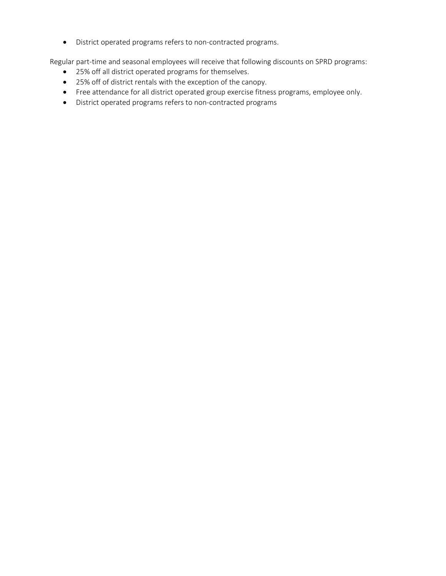• District operated programs refers to non-contracted programs.

Regular part-time and seasonal employees will receive that following discounts on SPRD programs:

- 25% off all district operated programs for themselves.
- 25% off of district rentals with the exception of the canopy.
- Free attendance for all district operated group exercise fitness programs, employee only.
- District operated programs refers to non-contracted programs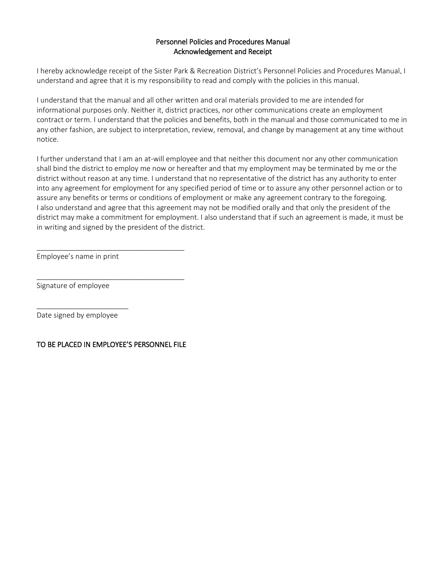#### Personnel Policies and Procedures Manual Acknowledgement and Receipt

I hereby acknowledge receipt of the Sister Park & Recreation District's Personnel Policies and Procedures Manual. I understand and agree that it is my responsibility to read and comply with the policies in this manual.

I understand that the manual and all other written and oral materials provided to me are intended for informational purposes only. Neither it, district practices, nor other communications create an employment contract or term. I understand that the policies and benefits, both in the manual and those communicated to me in any other fashion, are subject to interpretation, review, removal, and change by management at any time without notice.

I further understand that I am an at-will employee and that neither this document nor any other communication shall bind the district to employ me now or hereafter and that my employment may be terminated by me or the district without reason at any time. I understand that no representative of the district has any authority to enter into any agreement for employment for any specified period of time or to assure any other personnel action or to assure any benefits or terms or conditions of employment or make any agreement contrary to the foregoing. I also understand and agree that this agreement may not be modified orally and that only the president of the district may make a commitment for employment. I also understand that if such an agreement is made, it must be in writing and signed by the president of the district.

Employee's name in print

Signature of employee

\_\_\_\_\_\_\_\_\_\_\_\_\_\_\_\_\_\_\_\_\_\_\_ Date signed by employee

#### TO BE PLACED IN EMPLOYEE'S PERSONNEL FILE

\_\_\_\_\_\_\_\_\_\_\_\_\_\_\_\_\_\_\_\_\_\_\_\_\_\_\_\_\_\_\_\_\_\_\_\_\_

\_\_\_\_\_\_\_\_\_\_\_\_\_\_\_\_\_\_\_\_\_\_\_\_\_\_\_\_\_\_\_\_\_\_\_\_\_